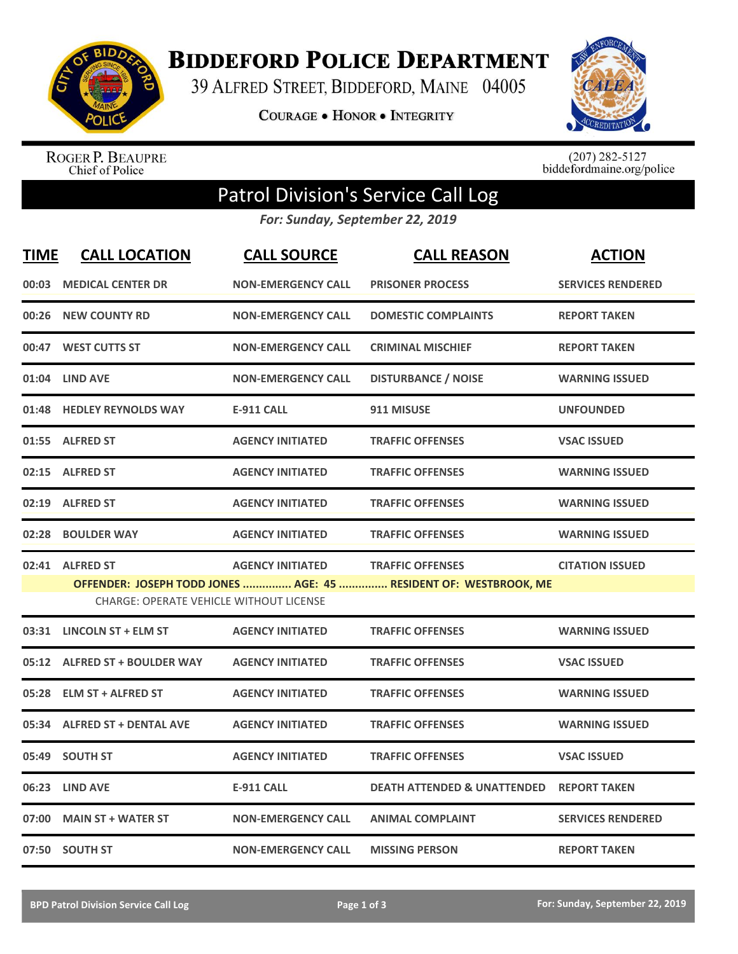

**BIDDEFORD POLICE DEPARTMENT** 

39 ALFRED STREET, BIDDEFORD, MAINE 04005

**COURAGE . HONOR . INTEGRITY** 



ROGER P. BEAUPRE<br>Chief of Police

 $(207)$  282-5127<br>biddefordmaine.org/police

## Patrol Division's Service Call Log

*For: Sunday, September 22, 2019*

| <b>TIME</b> | <b>CALL LOCATION</b>                           | <b>CALL SOURCE</b>        | <b>CALL REASON</b>                                               | <b>ACTION</b>            |
|-------------|------------------------------------------------|---------------------------|------------------------------------------------------------------|--------------------------|
|             | 00:03 MEDICAL CENTER DR                        | <b>NON-EMERGENCY CALL</b> | <b>PRISONER PROCESS</b>                                          | <b>SERVICES RENDERED</b> |
|             | 00:26 NEW COUNTY RD                            | <b>NON-EMERGENCY CALL</b> | <b>DOMESTIC COMPLAINTS</b>                                       | <b>REPORT TAKEN</b>      |
|             | 00:47 WEST CUTTS ST                            | <b>NON-EMERGENCY CALL</b> | <b>CRIMINAL MISCHIEF</b>                                         | <b>REPORT TAKEN</b>      |
|             | 01:04 LIND AVE                                 | <b>NON-EMERGENCY CALL</b> | <b>DISTURBANCE / NOISE</b>                                       | <b>WARNING ISSUED</b>    |
|             | 01:48 HEDLEY REYNOLDS WAY                      | <b>E-911 CALL</b>         | 911 MISUSE                                                       | <b>UNFOUNDED</b>         |
|             | 01:55 ALFRED ST                                | <b>AGENCY INITIATED</b>   | <b>TRAFFIC OFFENSES</b>                                          | <b>VSAC ISSUED</b>       |
|             | 02:15 ALFRED ST                                | <b>AGENCY INITIATED</b>   | <b>TRAFFIC OFFENSES</b>                                          | <b>WARNING ISSUED</b>    |
|             | 02:19 ALFRED ST                                | <b>AGENCY INITIATED</b>   | <b>TRAFFIC OFFENSES</b>                                          | <b>WARNING ISSUED</b>    |
| 02:28       | <b>BOULDER WAY</b>                             | <b>AGENCY INITIATED</b>   | <b>TRAFFIC OFFENSES</b>                                          | <b>WARNING ISSUED</b>    |
|             | 02:41 ALFRED ST                                | <b>AGENCY INITIATED</b>   | <b>TRAFFIC OFFENSES</b>                                          | <b>CITATION ISSUED</b>   |
|             | <b>CHARGE: OPERATE VEHICLE WITHOUT LICENSE</b> |                           | OFFENDER: JOSEPH TODD JONES  AGE: 45  RESIDENT OF: WESTBROOK, ME |                          |
|             | 03:31 LINCOLN ST + ELM ST                      | <b>AGENCY INITIATED</b>   | <b>TRAFFIC OFFENSES</b>                                          | <b>WARNING ISSUED</b>    |
|             | 05:12 ALFRED ST + BOULDER WAY                  | <b>AGENCY INITIATED</b>   | <b>TRAFFIC OFFENSES</b>                                          | <b>VSAC ISSUED</b>       |
|             | 05:28 ELM ST + ALFRED ST                       | <b>AGENCY INITIATED</b>   | <b>TRAFFIC OFFENSES</b>                                          | <b>WARNING ISSUED</b>    |
|             | 05:34 ALFRED ST + DENTAL AVE                   | <b>AGENCY INITIATED</b>   | <b>TRAFFIC OFFENSES</b>                                          | <b>WARNING ISSUED</b>    |
|             | 05:49 SOUTH ST                                 | <b>AGENCY INITIATED</b>   | <b>TRAFFIC OFFENSES</b>                                          | <b>VSAC ISSUED</b>       |
|             | 06:23 LIND AVE                                 | <b>E-911 CALL</b>         | <b>DEATH ATTENDED &amp; UNATTENDED</b>                           | <b>REPORT TAKEN</b>      |
| 07:00       | <b>MAIN ST + WATER ST</b>                      | <b>NON-EMERGENCY CALL</b> | <b>ANIMAL COMPLAINT</b>                                          | <b>SERVICES RENDERED</b> |
|             | 07:50 SOUTH ST                                 | <b>NON-EMERGENCY CALL</b> | <b>MISSING PERSON</b>                                            | <b>REPORT TAKEN</b>      |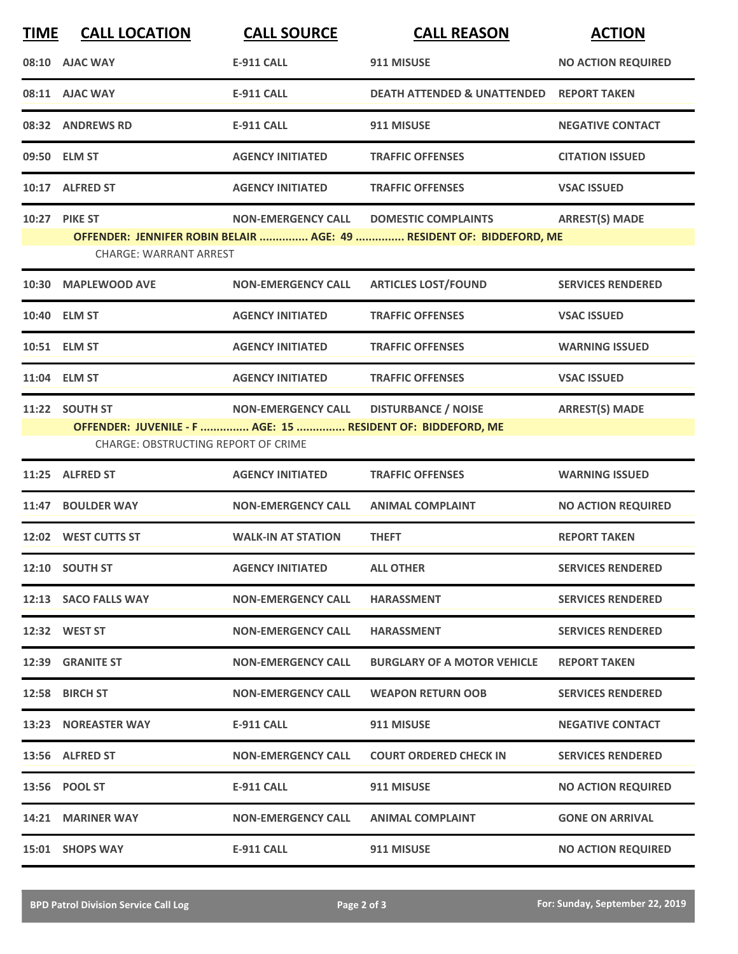| <b>TIME</b> | <b>CALL LOCATION</b>                                                                                                        | <b>CALL SOURCE</b>        | <b>CALL REASON</b>                                                                                 | <b>ACTION</b>             |
|-------------|-----------------------------------------------------------------------------------------------------------------------------|---------------------------|----------------------------------------------------------------------------------------------------|---------------------------|
|             | 08:10 AJAC WAY                                                                                                              | <b>E-911 CALL</b>         | 911 MISUSE                                                                                         | <b>NO ACTION REQUIRED</b> |
|             | 08:11 AJAC WAY                                                                                                              | <b>E-911 CALL</b>         | <b>DEATH ATTENDED &amp; UNATTENDED</b>                                                             | <b>REPORT TAKEN</b>       |
|             | 08:32 ANDREWS RD                                                                                                            | <b>E-911 CALL</b>         | 911 MISUSE                                                                                         | <b>NEGATIVE CONTACT</b>   |
|             | 09:50 ELM ST                                                                                                                | <b>AGENCY INITIATED</b>   | <b>TRAFFIC OFFENSES</b>                                                                            | <b>CITATION ISSUED</b>    |
|             | 10:17 ALFRED ST                                                                                                             | <b>AGENCY INITIATED</b>   | <b>TRAFFIC OFFENSES</b>                                                                            | <b>VSAC ISSUED</b>        |
|             | 10:27 PIKE ST<br><b>CHARGE: WARRANT ARREST</b>                                                                              | <b>NON-EMERGENCY CALL</b> | <b>DOMESTIC COMPLAINTS</b><br>OFFENDER: JENNIFER ROBIN BELAIR  AGE: 49  RESIDENT OF: BIDDEFORD, ME | <b>ARREST(S) MADE</b>     |
|             | 10:30 MAPLEWOOD AVE                                                                                                         | <b>NON-EMERGENCY CALL</b> | <b>ARTICLES LOST/FOUND</b>                                                                         | <b>SERVICES RENDERED</b>  |
|             | 10:40 ELM ST                                                                                                                | <b>AGENCY INITIATED</b>   | <b>TRAFFIC OFFENSES</b>                                                                            | <b>VSAC ISSUED</b>        |
|             | 10:51 ELM ST                                                                                                                | <b>AGENCY INITIATED</b>   | <b>TRAFFIC OFFENSES</b>                                                                            | <b>WARNING ISSUED</b>     |
|             | 11:04 ELM ST                                                                                                                | <b>AGENCY INITIATED</b>   | <b>TRAFFIC OFFENSES</b>                                                                            | <b>VSAC ISSUED</b>        |
|             | 11:22 SOUTH ST<br>OFFENDER: JUVENILE - F  AGE: 15  RESIDENT OF: BIDDEFORD, ME<br><b>CHARGE: OBSTRUCTING REPORT OF CRIME</b> | <b>NON-EMERGENCY CALL</b> | <b>DISTURBANCE / NOISE</b>                                                                         | <b>ARREST(S) MADE</b>     |
|             | 11:25 ALFRED ST                                                                                                             | <b>AGENCY INITIATED</b>   | <b>TRAFFIC OFFENSES</b>                                                                            | <b>WARNING ISSUED</b>     |
|             | 11:47 BOULDER WAY                                                                                                           | <b>NON-EMERGENCY CALL</b> | <b>ANIMAL COMPLAINT</b>                                                                            | <b>NO ACTION REQUIRED</b> |
|             | 12:02 WEST CUTTS ST                                                                                                         | <b>WALK-IN AT STATION</b> | <b>THEFT</b>                                                                                       | <b>REPORT TAKEN</b>       |
|             | 12:10 SOUTH ST                                                                                                              | <b>AGENCY INITIATED</b>   | <b>ALL OTHER</b>                                                                                   | <b>SERVICES RENDERED</b>  |
|             | 12:13 SACO FALLS WAY                                                                                                        | <b>NON-EMERGENCY CALL</b> | <b>HARASSMENT</b>                                                                                  | <b>SERVICES RENDERED</b>  |
|             | 12:32 WEST ST                                                                                                               | <b>NON-EMERGENCY CALL</b> | <b>HARASSMENT</b>                                                                                  | <b>SERVICES RENDERED</b>  |
|             | 12:39 GRANITE ST                                                                                                            | <b>NON-EMERGENCY CALL</b> | <b>BURGLARY OF A MOTOR VEHICLE</b>                                                                 | <b>REPORT TAKEN</b>       |
|             | 12:58 BIRCH ST                                                                                                              | <b>NON-EMERGENCY CALL</b> | <b>WEAPON RETURN OOB</b>                                                                           | <b>SERVICES RENDERED</b>  |
|             | <b>13:23 NOREASTER WAY</b>                                                                                                  | <b>E-911 CALL</b>         | 911 MISUSE                                                                                         | <b>NEGATIVE CONTACT</b>   |
|             | 13:56 ALFRED ST                                                                                                             | <b>NON-EMERGENCY CALL</b> | <b>COURT ORDERED CHECK IN</b>                                                                      | <b>SERVICES RENDERED</b>  |
|             | 13:56 POOL ST                                                                                                               | <b>E-911 CALL</b>         | 911 MISUSE                                                                                         | <b>NO ACTION REQUIRED</b> |
|             | 14:21 MARINER WAY                                                                                                           | <b>NON-EMERGENCY CALL</b> | <b>ANIMAL COMPLAINT</b>                                                                            | <b>GONE ON ARRIVAL</b>    |
|             | 15:01 SHOPS WAY                                                                                                             | <b>E-911 CALL</b>         | 911 MISUSE                                                                                         | <b>NO ACTION REQUIRED</b> |